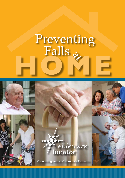# $Falls_{\&\&}$ **HOME** Preventing



Connecting You to Community Services

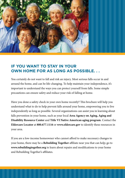

# **IF YOU WANT TO STAY IN YOUR OWN HOME FOR AS LONG AS POSSIBLE. . .**

You certainly do not want to fall and risk an injury. Most serious falls occur in and around the home, and can be life-changing. To help maintain your independence, it's important to understand the ways you can protect yourself from falls. Some simple precautions can ensure safety and reduce your risk of falling at home.

Have you done a safety check in your own home recently? This brochure will help you understand what to do to help prevent falls around your home, empowering you to live independently as long as possible. Several organizations can assist you in learning about falls prevention in your home, such as your local **Area Agency on Aging, Aging and Disability Resource Center** and **Title VI Native American aging program**. Contact the **Eldercare Locator** at **800.677.1116** or **www.eldercare.gov** to identify these resources in your area.

If you are a low-income homeowner who cannot afford to make necessary changes to your home, there may be a **Rebuilding Together** affiliate near you that can help; go to **www.rebuildingtogether.org** to learn about repairs and modifications to your home and Rebuilding Together's affiliates.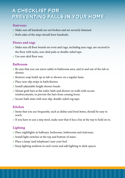# **A CHECKLIST FOR A CHECKLIST FOR PREVENTING FALLS IN YOUR HOME PREVENTING FALLS IN YOUR HOME**

#### **Stairways**

- $\sqrt{3}$  Make sure all handrails are not broken and are securely fastened.
- $\checkmark$  Both sides of the steps should have handrails.

## **Floors and rugs**

- $\checkmark$  Make sure all floor boards are even and rugs, including area rugs, are secured to the floor with tacks, non-skid pads or double-sided tape.
- $\angle$  Use non-skid floor wax.

### **Bathroom**

- $\checkmark$  Be sure that you can move safely in bathroom area, and in and out of the tub or shower.
- $\checkmark$  Remove soap build-up in tub or shower on a regular basis.
- $\checkmark$  Place non-slip strips in bath/shower.
- $\checkmark$  Install adjustable height shower heads.
- $\checkmark$  Mount grab bars at the toilet, bath and shower on walls with secure reinforcements, to prevent the bars from coming loose.
- Secure bath mats with non-slip, double-sided rug tape.

# **Kitchen**

- $\checkmark$  Items that you use frequently, such as dishes and food items, should be easy to reach.
- $\checkmark$  If you have to use a step stool, make sure that it has a bar at the top to hold on to.

# **Lighting**

- $\checkmark$  Place nightlights in hallways, bedrooms, bathrooms and stairways.
- $\checkmark$  Install light switches at the top and bottom of stairs.
- 3 Place a lamp (and telephone) near your bed.
- $\checkmark$  Keep lighting uniform in each room and add lighting to dark spaces.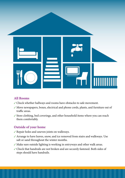

#### **All Rooms**

- $\checkmark$  Check whether hallways and rooms have obstacles to safe movement.
- $\checkmark$  Move newspapers, boxes, electrical and phone cords, plants, and furniture out of traffic areas.
- √ Store clothing, bed coverings, and other household items where you can reach them comfortably.

### **Outside of your home**

- $\checkmark$  Repair holes and uneven joints on walkways.
- Arrange to have leaves, snow, and ice removed from stairs and walkways. Use salt or sand throughout the winter months.
- $\checkmark$  Make sure outside lighting is working in entryways and other walk areas.
- $\checkmark$  Check that handrails are not broken and are securely fastened. Both sides of steps should have handrails.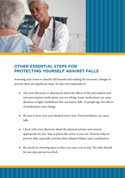

# **OTHER ESSENTIAL STEPS FOR PROTECTING YOURSELF AGAINST FALLS**

Assessing your home to identify fall hazards and making the necessary changes to prevent them are significant steps. It's also very important to:

- l Ask your physician or pharmacist about the effects of the prescription and non-prescription medications you are taking. Some medications can cause dizziness or light-headedness that can lead to falls. As people age, the effects of medications may change.
- Be sure to have your eyes checked every year. Vision problems can cause falls.
- $\bullet$  Check with your physician about the physical activity and exercise appropriate for you. Stay as physically active as you can. Exercise helps to prevent falls, especially activities that enhance balance and coordination.
- l Be careful in choosing shoes as they can cause you to trip. The soles should be non-slip and not too thick.